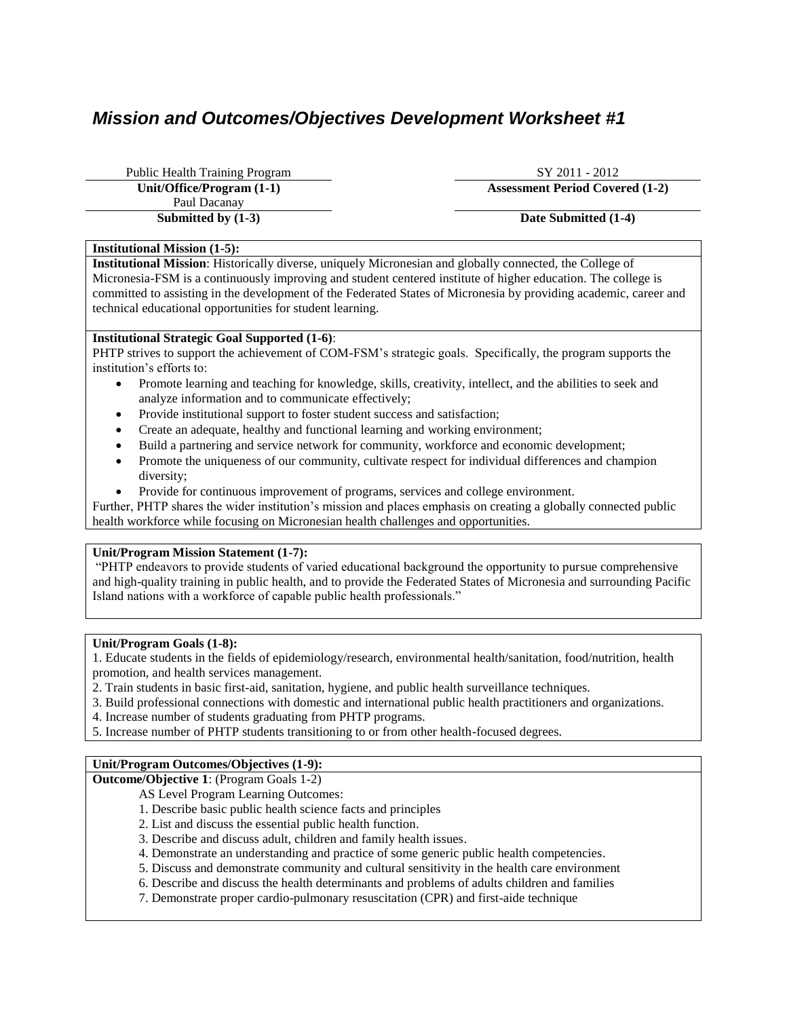# *Mission and Outcomes/Objectives Development Worksheet #1*

Public Health Training Program SY 2011 - 2012 Paul Dacanay **Submitted by (1-3) Date Submitted (1-4)** 

**Unit/Office/Program (1-1) Assessment Period Covered (1-2)**

# **Institutional Mission (1-5):**

**Institutional Mission**: Historically diverse, uniquely Micronesian and globally connected, the College of Micronesia-FSM is a continuously improving and student centered institute of higher education. The college is committed to assisting in the development of the Federated States of Micronesia by providing academic, career and technical educational opportunities for student learning.

# **Institutional Strategic Goal Supported (1-6)**:

PHTP strives to support the achievement of COM-FSM's strategic goals. Specifically, the program supports the institution's efforts to:

- Promote learning and teaching for knowledge, skills, creativity, intellect, and the abilities to seek and analyze information and to communicate effectively;
- Provide institutional support to foster student success and satisfaction;
- Create an adequate, healthy and functional learning and working environment;
- Build a partnering and service network for community, workforce and economic development;
- Promote the uniqueness of our community, cultivate respect for individual differences and champion diversity;
- Provide for continuous improvement of programs, services and college environment.

Further, PHTP shares the wider institution's mission and places emphasis on creating a globally connected public health workforce while focusing on Micronesian health challenges and opportunities.

# **Unit/Program Mission Statement (1-7):**

"PHTP endeavors to provide students of varied educational background the opportunity to pursue comprehensive and high-quality training in public health, and to provide the Federated States of Micronesia and surrounding Pacific Island nations with a workforce of capable public health professionals."

## **Unit/Program Goals (1-8):**

1. Educate students in the fields of epidemiology/research, environmental health/sanitation, food/nutrition, health promotion, and health services management.

- 2. Train students in basic first-aid, sanitation, hygiene, and public health surveillance techniques.
- 3. Build professional connections with domestic and international public health practitioners and organizations.
- 4. Increase number of students graduating from PHTP programs.
- 5. Increase number of PHTP students transitioning to or from other health-focused degrees.

# **Unit/Program Outcomes/Objectives (1-9):**

**Outcome/Objective 1**: (Program Goals 1-2)

- AS Level Program Learning Outcomes:
- 1. Describe basic public health science facts and principles
- 2. List and discuss the essential public health function.
- 3. Describe and discuss adult, children and family health issues.
- 4. Demonstrate an understanding and practice of some generic public health competencies.
- 5. Discuss and demonstrate community and cultural sensitivity in the health care environment
- 6. Describe and discuss the health determinants and problems of adults children and families
- 7. Demonstrate proper cardio-pulmonary resuscitation (CPR) and first-aide technique